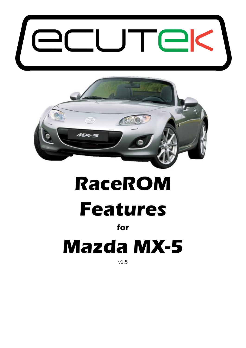



# **RaceROM Features**

#### **for**

# **Mazda MX-5**

v1.5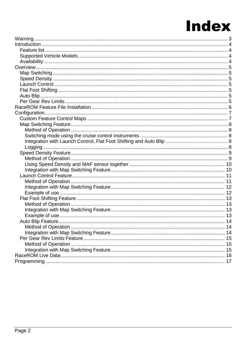### **Index**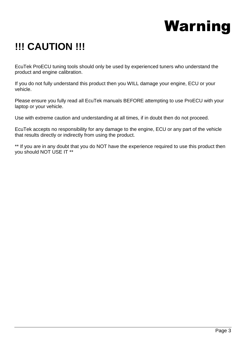## Warning

### <span id="page-2-0"></span>**!!! CAUTION !!!**

EcuTek ProECU tuning tools should only be used by experienced tuners who understand the product and engine calibration.

If you do not fully understand this product then you WILL damage your engine, ECU or your vehicle.

Please ensure you fully read all EcuTek manuals BEFORE attempting to use ProECU with your laptop or your vehicle.

Use with extreme caution and understanding at all times, if in doubt then do not proceed.

EcuTek accepts no responsibility for any damage to the engine, ECU or any part of the vehicle that results directly or indirectly from using the product.

\*\* If you are in any doubt that you do NOT have the experience required to use this product then you should NOT USE IT \*\*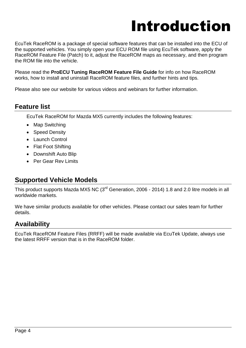### Introduction

<span id="page-3-0"></span>EcuTek RaceROM is a package of special software features that can be installed into the ECU of the supported vehicles. You simply open your ECU ROM file using EcuTek software, apply the RaceROM Feature File (Patch) to it, adjust the RaceROM maps as necessary, and then program the ROM file into the vehicle.

Please read the **ProECU Tuning RaceROM Feature File Guide** for info on how RaceROM works, how to install and uninstall RaceROM feature files, and further hints and tips.

Please also see our website for various videos and webinars for further information.

#### <span id="page-3-1"></span>**Feature list**

EcuTek RaceROM for Mazda MX5 currently includes the following features:

- Map Switching
- Speed Density
- Launch Control
- Flat Foot Shifting
- Downshift Auto Blip
- Per Gear Rev Limits

#### <span id="page-3-2"></span>**Supported Vehicle Models**

This product supports Mazda MX5 NC (3<sup>rd</sup> Generation, 2006 - 2014) 1.8 and 2.0 litre models in all worldwide markets.

We have similar products available for other vehicles. Please contact our sales team for further details.

#### <span id="page-3-3"></span>**Availability**

EcuTek RaceROM Feature Files (RRFF) will be made available via EcuTek Update, always use the latest RRFF version that is in the RaceROM folder.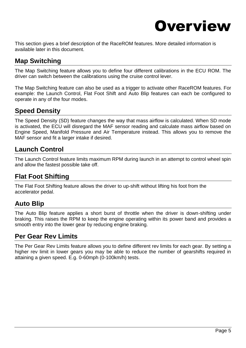

<span id="page-4-0"></span>This section gives a brief description of the RaceROM features. More detailed information is available later in this document.

#### <span id="page-4-1"></span>**Map Switching**

The Map Switching feature allows you to define four different calibrations in the ECU ROM. The driver can switch between the calibrations using the cruise control lever.

The Map Switching feature can also be used as a trigger to activate other RaceROM features. For example: the Launch Control, Flat Foot Shift and Auto Blip features can each be configured to operate in any of the four modes.

#### <span id="page-4-2"></span>**Speed Density**

The Speed Density (SD) feature changes the way that mass airflow is calculated. When SD mode is activated, the ECU will disregard the MAF sensor reading and calculate mass airflow based on Engine Speed, Manifold Pressure and Air Temperature instead. This allows you to remove the MAF sensor and fit a larger intake if desired.

#### <span id="page-4-3"></span>**Launch Control**

The Launch Control feature limits maximum RPM during launch in an attempt to control wheel spin and allow the fastest possible take off.

#### <span id="page-4-4"></span>**Flat Foot Shifting**

The Flat Foot Shifting feature allows the driver to up-shift without lifting his foot from the accelerator pedal.

#### <span id="page-4-5"></span>**Auto Blip**

The Auto Blip feature applies a short burst of throttle when the driver is down-shifting under braking. This raises the RPM to keep the engine operating within its power band and provides a smooth entry into the lower gear by reducing engine braking.

#### <span id="page-4-6"></span>**Per Gear Rev Limits**

The Per Gear Rev Limits feature allows you to define different rev limits for each gear. By setting a higher rev limit in lower gears you may be able to reduce the number of gearshifts required in attaining a given speed. E.g. 0-60mph (0-100km/h) tests.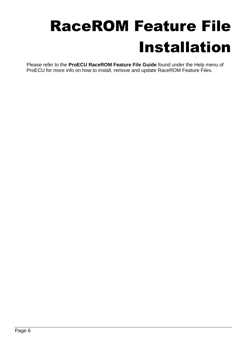## <span id="page-5-0"></span>RaceROM Feature File Installation

Please refer to the **ProECU RaceROM Feature File Guide** found under the Help menu of ProECU for more info on how to install, remove and update RaceROM Feature Files.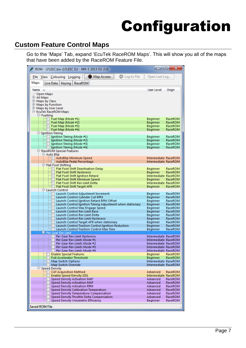## Configuration

#### <span id="page-6-1"></span><span id="page-6-0"></span>**Custom Feature Control Maps**

Go to the 'Maps' Tab, expand 'EcuTek RaceROM Maps'. This will show you all of the maps that have been added by the RaceROM Feature File.

| ROM - LFLEEC.bin (LFLEEC EU - MX-5 2013 EU 2.0)                                              | l a la                                       | $\mathbf{x}$       |
|----------------------------------------------------------------------------------------------|----------------------------------------------|--------------------|
| C Log to File<br>Map Access<br>File View Colouring Logging                                   | Open Last Log                                |                    |
| Maps<br>Live Data   Keying   RaceROM                                                         |                                              |                    |
| Name                                                                                         | User Level                                   | Origin             |
| Open Maps<br>中 All Maps                                                                      |                                              |                    |
| <sup>+</sup> Maps by Class                                                                   |                                              |                    |
| <b>E</b> Maps by Function<br>the Maps by User Level                                          |                                              |                    |
| E-EcuTek RaceROM Maps<br>$F$ Fuelling                                                        |                                              |                    |
| Fuel Map (Mode #1)                                                                           | Beginner                                     | RaceROM            |
| Fuel Map (Mode #2)<br>Fuel Map (Mode #3)                                                     | Beginner<br>Beginner                         | RaceROM<br>RaceROM |
| Fuel Map (Mode #4)                                                                           | Beginner                                     | RaceROM            |
| <b>Fignition Timing</b><br>Ignition Timing (Mode #1)                                         | Beginner                                     | RaceROM            |
| Ignition Timing (Mode #2)                                                                    | Beginner                                     | RaceROM            |
| Ignition Timing (Mode #3)<br>Ignition Timing (Mode #4)                                       | Beginner<br>Beginner                         | RaceROM<br>RaceROM |
| □ RaceROM Special Features                                                                   |                                              |                    |
| <b>D</b> Auto Blip<br>AutoBlip Minimum Speed                                                 | Intermediate RaceROM                         |                    |
| AutoBlip Pedal Percentage                                                                    | Intermediate RaceROM                         |                    |
| Flat Foot Shifting<br><b>Flat Foot Shift Deactivation Delay</b>                              | Beginner                                     | RaceROM            |
| <b>Flat Foot Shift Hysteresis</b>                                                            | Beginner<br>Intermediate RaceROM             | RaceROM            |
| Flat Foot Shift Ignition Retard<br>Flat Foot Shift Minimum Speed                             | Beginner                                     | RaceROM            |
| Flat Foot Shift Rev Limit Delta                                                              | Intermediate RaceROM                         |                    |
| Flat Foot Shift Target AFR<br><b>E-Launch Control</b>                                        | Beginner                                     | RaceROM            |
| Launch Control Adjustment Increment<br>Launch Control Cylinder Cut RPM                       | Beginner<br>Beginner                         | RaceROM<br>RaceROM |
| Launch Control Ignition Retard RPM Offset                                                    | Beginner                                     | RaceROM            |
| Launch Control Ignition Timing Adjustment when stationary<br>Launch Control Max Engage Speed | Beginner<br>Beginner                         | RaceROM<br>RaceROM |
| Launch Control Rev Limit Base                                                                | Beginner                                     | RaceROM            |
| Launch Control Rev Limit Delta<br>Launch Control Rev Limit Hysteresis                        | Beginner                                     | RaceROM            |
| Launch Control Target AFR when stationary                                                    | Beginner<br>Beginner                         | RaceROM<br>RaceROM |
| Launch Control Traction Control Ignition Reduction                                           | Beginner                                     | RaceROM            |
| <b>Launch Control Traction Control Max Time</b><br>P-Per Gear Rev Limit                      | Beginner                                     | RaceROM            |
| Per Gear Rev Limit Hysteresis<br>Per Gear Rev Limits Mode #1                                 | Intermediate RaceROM<br>Intermediate RaceROM |                    |
| Per Gear Rev Limits Mode #2                                                                  | Intermediate RaceROM                         |                    |
| Per Gear Rev Limits Mode #3                                                                  | Intermediate RaceROM                         |                    |
| Per Gear Rev Limits Mode #4<br><b>Enable Special Features</b>                                | Intermediate RaceROM<br>Beginner             | RaceROM            |
| Full Accelerator Threshold                                                                   | Beginner                                     | RaceROM            |
| <b>Map Switch Options</b><br>Map Switch Override                                             | Intermediate RaceROM<br>Intermediate RaceROM |                    |
| $\Box$ -Speed Density                                                                        |                                              |                    |
| <b>CAT Acquisition Method</b><br><b>Enable Speed Density (SD)</b>                            | Advanced<br>Intermediate RaceROM             | RaceROM            |
| <b>Speed Density Activation MAF</b>                                                          | Advanced                                     | RaceROM            |
| <b>Speed Density Activation MAP</b><br><b>Speed Density Activation RPM</b>                   | Advanced<br>Advanced                         | RaceROM<br>RaceROM |
| <b>Speed Density Calibration Temperature</b>                                                 | Advanced                                     | RaceROM            |
| Speed Density Temperature Compensation<br>Speed Density Throttle Delta Compensation          | Advanced<br>Advanced                         | RaceROM<br>RaceROM |
| Speed Density Volumetric Efficiency                                                          | Beginner                                     | RaceROM            |
| <b>Saved ROM File</b>                                                                        |                                              |                    |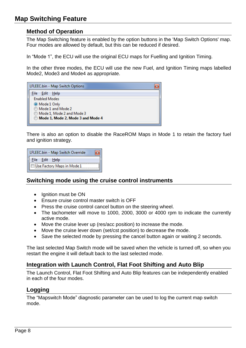#### <span id="page-7-1"></span><span id="page-7-0"></span>**Method of Operation**

The Map Switching feature is enabled by the option buttons in the 'Map Switch Options' map. Four modes are allowed by default, but this can be reduced if desired.

In "Mode 1", the ECU will use the original ECU maps for Fuelling and Ignition Timing.

In the other three modes, the ECU will use the new Fuel, and Ignition Timing maps labelled Mode2, Mode3 and Mode4 as appropriate.

| LFLEEC.bin - Map Switch Options   |  |
|-----------------------------------|--|
| - Edit - Help<br>File:            |  |
| <b>Enabled Modes</b>              |  |
| ◉ Mode 1 Only                     |  |
| Mode 1 and Mode 2                 |  |
| Mode 1, Mode 2 and Mode 3 @       |  |
| Mode 1, Mode 2, Mode 3 and Mode 4 |  |

There is also an option to disable the RaceROM Maps in Mode 1 to retain the factory fuel and ignition strategy.

| LFLEEC.bin - Map Switch Override |  |
|----------------------------------|--|
| File Edit Help                   |  |
| Use Factory Maps in Mode 1       |  |

#### <span id="page-7-2"></span>**Switching mode using the cruise control instruments**

- Ignition must be ON
- Ensure cruise control master switch is OFF
- Press the cruise control cancel button on the steering wheel.
- The tachometer will move to 1000, 2000, 3000 or 4000 rpm to indicate the currently active mode.
- Move the cruise lever up (res/acc position) to increase the mode.
- Move the cruise lever down (set/cst position) to decrease the mode.
- Save the selected mode by pressing the cancel button again or waiting 2 seconds.

The last selected Map Switch mode will be saved when the vehicle is turned off, so when you restart the engine it will default back to the last selected mode.

#### <span id="page-7-3"></span>**Integration with Launch Control, Flat Foot Shifting and Auto Blip**

The Launch Control, Flat Foot Shifting and Auto Blip features can be independently enabled in each of the four modes.

#### <span id="page-7-4"></span>**Logging**

The "Mapswitch Mode" diagnostic parameter can be used to log the current map switch mode.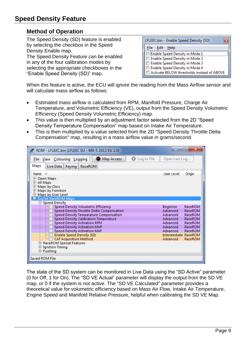#### <span id="page-8-1"></span><span id="page-8-0"></span>**Method of Operation**

The Speed Density (SD) feature is enabled by selecting the checkbox in the Speed Density Enable map. The Speed Density Feature can be enabled in any of the four calibration modes by

selecting the appropriate checkboxes in the "Enable Speed Density (SD)" map.

LFLEEC.bin - Enable Speed Density (SD)  $\overline{\mathbf{z}}$ File Edit Help Enable Speed Density in Mode 1 Enable Speed Density in Mode 2 Enable Speed Density in Mode 3 Enable Speed Density in Mode 4 Activate BELOW thresholds instead of ABOVE

When this feature is active, the ECU will ignore the reading from the Mass Airflow sensor and will calculate mass airflow as follows:

- Estimated mass airflow is calculated from RPM, Manifold Pressure, Charge Air Temperature, and Volumetric Efficiency (VE), output from the Speed Density Volumetric Efficiency (Speed Density Volumetric Efficiency) map.
- This value is then multiplied by an adjustment factor selected from the 2D "Speed Density Temperature Compensation" map based on Intake Air Temperature.
- This is then multiplied by a value selected from the 2D "Speed Density Throttle Delta Compensation" map, resulting in a mass airflow value in grams/second.

| ROM - LFLEEC.bin (LFLEEC EU - MX-5 2013 EU 2.0)            | -                           | $\mathbf{x}$<br>▣ |
|------------------------------------------------------------|-----------------------------|-------------------|
| Map Access<br>C Log to File<br>File View Colouring Logging | Open Last Log               |                   |
| Maps<br>Live Data   Keying   RaceROM                       |                             |                   |
| <b>Name</b>                                                | User Level                  | Origin            |
| 中 Open Maps                                                |                             |                   |
| 中 All Maps                                                 |                             |                   |
| the Maps by Class                                          |                             |                   |
| 中 Maps by Function                                         |                             |                   |
| 中 Maps by User Level                                       |                             |                   |
| <b>EcuTek RaceROM Maps</b>                                 |                             |                   |
| $\equiv$ Speed Density                                     |                             |                   |
| <b>Speed Density Volumetric Efficiency</b>                 | Beginner                    | RaceROM           |
| Speed Density Throttle Delta Compensation                  | Advanced                    | RaceROM           |
| Speed Density Temperature Compensation                     | Advanced                    | RaceROM           |
| <b>Speed Density Calibration Temperature</b>               | Advanced                    | RaceROM           |
| <b>Speed Density Activation RPM</b>                        | Advanced                    | RaceROM           |
| <b>Speed Density Activation MAP</b>                        | Advanced                    | RaceROM           |
| <b>Speed Density Activation MAF</b>                        | Advanced                    | RaceROM           |
| <b>Enable Speed Density (SD)</b>                           | <b>Intermediate RaceROM</b> |                   |
| <b>CAT Acquisition Method</b>                              | Advanced                    | RaceROM           |
| 甲 RaceROM Special Features                                 |                             |                   |
| $\pm$ Ignition Timing                                      |                             |                   |
| <sup>E</sup> -Fuelling                                     |                             |                   |
| Saved ROM File                                             |                             |                   |

The state of the SD system can be monitored in Live Data using the "SD Active" parameter. (0 for Off, 1 for On). The "SD VE Actual" parameter will display the output from the SD VE map, or 0 if the system is not active. The "SD VE Calculated" parameter provides a theoretical value for volumetric efficiency based on Mass Air Flow, Intake Air Temperature, Engine Speed and Manifold Relative Pressure, helpful when calibrating the SD VE Map.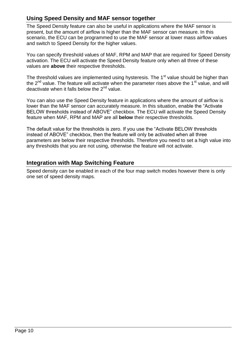#### <span id="page-9-0"></span>**Using Speed Density and MAF sensor together**

The Speed Density feature can also be useful in applications where the MAF sensor is present, but the amount of airflow is higher than the MAF sensor can measure. In this scenario, the ECU can be programmed to use the MAF sensor at lower mass airflow values and switch to Speed Density for the higher values.

You can specify threshold values of MAF, RPM and MAP that are required for Speed Density activation. The ECU will activate the Speed Density feature only when all three of these values are **above** their respective thresholds.

The threshold values are implemented using hysteresis. The  $1<sup>st</sup>$  value should be higher than the  $2^{nd}$  value. The feature will activate when the parameter rises above the 1<sup>st</sup> value, and will deactivate when it falls below the 2<sup>nd</sup> value.

You can also use the Speed Density feature in applications where the amount of airflow is lower than the MAF sensor can accurately measure. In this situation, enable the "Activate BELOW thresholds instead of ABOVE" checkbox. The ECU will activate the Speed Density feature when MAF, RPM and MAP are all **below** their respective thresholds.

The default value for the thresholds is zero. If you use the "Activate BELOW thresholds instead of ABOVE" checkbox, then the feature will only be activated when all three parameters are below their respective thresholds. Therefore you need to set a high value into any thresholds that you are not using, otherwise the feature will not activate.

#### <span id="page-9-1"></span>**Integration with Map Switching Feature**

Speed density can be enabled in each of the four map switch modes however there is only one set of speed density maps.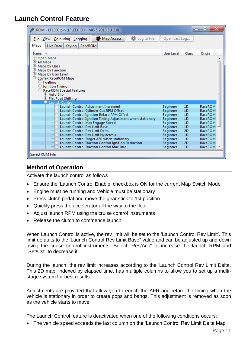#### <span id="page-10-0"></span>**Launch Control Feature**

| ROM - LFLEEC.bin (LFLEEC EU - MX-5 2013 EU 2.0)            |                 |              | $\overline{\mathbf{x}}$<br>e<br>$\blacksquare$ |
|------------------------------------------------------------|-----------------|--------------|------------------------------------------------|
| Map Access<br>C Log to File<br>File View Colouring Logging | Open Last Log   |              |                                                |
| Maps<br>RaceROM<br>Live Data   Keying                      |                 |              |                                                |
| Name $\triangle$                                           | User Level      | <b>Class</b> | Origin                                         |
| <b>Open Maps</b>                                           |                 |              |                                                |
| 中 All Maps                                                 |                 |              |                                                |
| <b>E-Maps by Class</b>                                     |                 |              |                                                |
| 中 Maps by Function                                         |                 |              |                                                |
| 中 Maps by User Level                                       |                 |              |                                                |
| E-EcuTek RaceROM Maps                                      |                 |              |                                                |
| <b>E</b> -Fuelling                                         |                 |              |                                                |
| $\mathop{\mathbb{F}}$ Ignition Timing                      |                 |              |                                                |
| □ RaceROM Special Features                                 |                 |              | Ξ                                              |
| 中 Auto Blip<br>中 Flat Foot Shifting                        |                 |              |                                                |
| 早~Launch Control                                           |                 |              |                                                |
| Launch Control Adjustment Increment                        | <b>Beginner</b> | 1D           | RaceROM                                        |
| Launch Control Cylinder Cut RPM Offset                     | Beginner        | 1D           | <b>RaceROM</b>                                 |
| Launch Control Ignition Retard RPM Offset                  | Beginner        | 1D           | RaceROM                                        |
| Launch Control Ignition Timing Adjustment when stationary  | Beginner        | 1D           | <b>RaceROM</b>                                 |
| Launch Control Max Engage Speed                            | Beginner        | 1D           | RaceROM                                        |
| <b>Launch Control Rev Limit Base</b>                       | Beginner        | 1D           | RaceROM                                        |
| Launch Control Rev Limit Delta                             | Beginner        | 2D           | RaceROM                                        |
| Launch Control Rev Limit Hysteresis                        | Beginner        | 1D           | RaceROM                                        |
| Launch Control Target AFR when stationary                  | Beginner        | 1D           | RaceROM                                        |
| Launch Control Traction Control Ignition Reduction         | Beginner        | 2D           | RaceROM                                        |
| <b>Launch Control Traction Control Max Time</b>            | Beginner        | 1D           | RaceROM                                        |
| Saved ROM File                                             |                 |              |                                                |

#### <span id="page-10-1"></span>**Method of Operation**

Activate the launch control as follows

- Ensure the 'Launch Control Enable' checkbox is ON for the current Map Switch Mode
- Engine must be running and Vehicle must be stationary
- Press clutch pedal and move the gear stick to 1st position
- Quickly press the accelerator all the way to the floor
- Adjust launch RPM using the cruise control instruments
- Release the clutch to commence launch

When Launch Control is active, the rev limit will be set to the 'Launch Control Rev Limit'. This limit defaults to the 'Launch Control Rev Limit Base" value and can be adjusted up and down using the cruise control instruments. Select "Res/Acc" to increase the launch RPM and "Set/Cst" to decrease it.

During the launch, the rev limit increases according to the 'Launch Control Rev Limit Delta, This 2D map, indexed by elapsed time, has multiple columns to allow you to set up a multistage system for best results.

Adjustments are provided that allow you to enrich the AFR and retard the timing when the vehicle is stationary in order to create pops and bangs. This adjustment is removed as soon as the vehicle starts to move.

The Launch Control feature is deactivated when one of the following conditions occurs:

The vehicle speed exceeds the last column on the 'Launch Control Rev Limit Delta Map'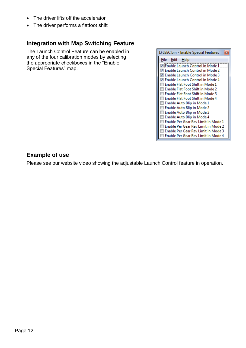- The driver lifts off the accelerator
- The driver performs a flatfoot shift

#### <span id="page-11-0"></span>**Integration with Map Switching Feature**

The Launch Control Feature can be enabled in any of the four calibration modes by selecting the appropriate checkboxes in the "Enable Special Features" map.

| LFLEEC.bin - Enable Special Features |
|--------------------------------------|
| File<br>Edit Help                    |
| √ Enable Launch Control in Mode 1    |
| √ Enable Launch Control in Mode 2    |
| Enable Launch Control in Mode 3      |
| √ Enable Launch Control in Mode 4    |
| Enable Flat Foot Shift in Mode 1     |
| Enable Flat Foot Shift in Mode 2     |
| Enable Flat Foot Shift in Mode 3     |
| Enable Flat Foot Shift in Mode 4     |
| Enable Auto Blip in Mode 1           |
| Enable Auto Blip in Mode 2           |
| Enable Auto Blip in Mode 3           |
| Enable Auto Blip in Mode 4           |
| Enable Per Gear Rev Limit in Mode 1  |
| Enable Per Gear Rev Limit in Mode 2  |
| Enable Per Gear Rev Limit in Mode 3  |
| Enable Per Gear Rev Limit in Mode 4  |

#### <span id="page-11-1"></span>**Example of use**

Please see our website video showing the adjustable Launch Control feature in operation.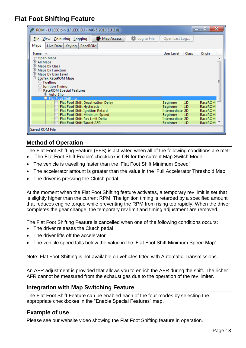#### <span id="page-12-0"></span>**Flat Foot Shifting Feature**

| ROM - LFLEEC.bin (LFLEEC EU - MX-5 2013 EU 2.0)            |                 | -              | х<br>$\Box$    |   |
|------------------------------------------------------------|-----------------|----------------|----------------|---|
| Map Access<br>C Log to File<br>File View Colouring Logging | Open Last Log   |                |                |   |
| Maps<br>Live Data   Keying   RaceROM                       |                 |                |                |   |
| Name $\triangle$                                           | User Level      | Class          | Origin         |   |
| Open Maps                                                  |                 |                |                | ┻ |
| 中 All Maps                                                 |                 |                |                |   |
| 中 Maps by Class<br><sup>+</sup> Maps by Function           |                 |                |                |   |
| the Maps by User Level                                     |                 |                |                |   |
| E-EcuTek RaceROM Maps                                      |                 |                |                |   |
| $\pm$ -Fuelling                                            |                 |                |                | Ξ |
| $\pm$ Ignition Timing                                      |                 |                |                |   |
| $\Box$ RaceROM Special Features                            |                 |                |                |   |
| 中 Auto Blip<br><b>E-Flat Foot Shifting</b>                 |                 |                |                |   |
| Flat Foot Shift Deactivation Delay                         | <b>Beginner</b> | 1D             | RaceROM        |   |
| <b>Flat Foot Shift Hysteresis</b>                          | Beginner        | 1D             | <b>RaceROM</b> |   |
| Flat Foot Shift Ignition Retard                            | Intermediate 2D |                | RaceROM        |   |
| Flat Foot Shift Minimum Speed                              | <b>Beginner</b> | 1 <sub>D</sub> | RaceROM        |   |
| <b>Flat Foot Shift Rev Limit Delta</b>                     | Intermediate 2D |                | RaceROM        |   |
| Flat Foot Shift Target AFR                                 | <b>Beginner</b> | 1D             | RaceROM        |   |
| Saved ROM File                                             |                 |                |                |   |

#### <span id="page-12-1"></span>**Method of Operation**

The Flat Foot Shifting Feature (FFS) is activated when all of the following conditions are met:

- 'The Flat Foot Shift Enable' checkbox is ON for the current Map Switch Mode
- The vehicle is travelling faster than the 'Flat Foot Shift Minimum Speed'
- The accelerator amount is greater than the value in the 'Full Accelerator Threshold Map'
- The driver is pressing the Clutch pedal

At the moment when the Flat Foot Shifting feature activates, a temporary rev limit is set that is slightly higher than the current RPM. The ignition timing is retarded by a specified amount that reduces engine torque while preventing the RPM from rising too rapidly. When the driver completes the gear change, the temporary rev limit and timing adjustment are removed.

The Flat Foot Shifting Feature is cancelled when one of the following conditions occurs:

- The driver releases the Clutch pedal
- The driver lifts off the accelerator
- The vehicle speed falls below the value in the 'Flat Foot Shift Minimum Speed Map'

Note: Flat Foot Shifting is not available on vehicles fitted with Automatic Transmissions.

An AFR adjustment is provided that allows you to enrich the AFR during the shift. The richer AFR cannot be measured from the exhaust gas due to the operation of the rev limiter.

#### <span id="page-12-2"></span>**Integration with Map Switching Feature**

The Flat Foot Shift Feature can be enabled each of the four modes by selecting the appropriate checkboxes in the "Enable Special Features" map.

#### <span id="page-12-3"></span>**Example of use**

Please see our website video showing the Flat Foot Shifting feature in operation.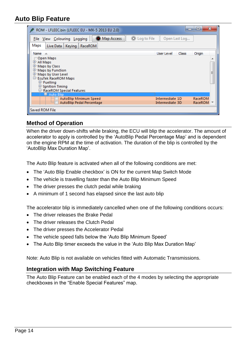#### <span id="page-13-0"></span>**Auto Blip Feature**

| ROM - LFLEEC.bin (LFLEEC EU - MX-5 2013 EU 2.0)                                                                                                                                                              | x<br>⊫                            |
|--------------------------------------------------------------------------------------------------------------------------------------------------------------------------------------------------------------|-----------------------------------|
| Map Access<br>۱<br>File View Colouring Logging                                                                                                                                                               | Log to File<br>Open Last Log      |
| Maps<br>Keying   RaceROM<br>Live Data                                                                                                                                                                        |                                   |
| Name $\triangle$                                                                                                                                                                                             | Class<br>User Level<br>Origin     |
| Open Maps<br>中 All Maps<br><b>E-Maps by Class</b><br>$\pm$ Maps by Function<br>中 Maps by User Level<br>E-EcuTek RaceROM Maps<br>中Fuelling<br><b>E</b> -Ignition Timing<br>$⊔\vdash$ RaceROM Special Features | ▲<br>Ė                            |
| 厚- Auto Blip<br>AutoBlip Minimum Speed                                                                                                                                                                       | Intermediate 1D<br>RaceROM        |
| AutoBlip Pedal Percentage                                                                                                                                                                                    | <b>RaceROM</b><br>Intermediate 3D |
| Saved ROM File                                                                                                                                                                                               |                                   |

#### <span id="page-13-1"></span>**Method of Operation**

When the driver down-shifts while braking, the ECU will blip the accelerator. The amount of accelerator to apply is controlled by the 'AutoBlip Pedal Percentage Map' and is dependent on the engine RPM at the time of activation. The duration of the blip is controlled by the 'AutoBlip Max Duration Map'.

The Auto Blip feature is activated when all of the following conditions are met:

- The 'Auto Blip Enable checkbox' is ON for the current Map Switch Mode
- The vehicle is travelling faster than the Auto Blip Minimum Speed
- The driver presses the clutch pedal while braking
- A minimum of 1 second has elapsed since the last auto blip

The accelerator blip is immediately cancelled when one of the following conditions occurs:

- The driver releases the Brake Pedal
- The driver releases the Clutch Pedal
- The driver presses the Accelerator Pedal
- The vehicle speed falls below the 'Auto Blip Minimum Speed'
- The Auto Blip timer exceeds the value in the 'Auto Blip Max Duration Map'

Note: Auto Blip is not available on vehicles fitted with Automatic Transmissions.

#### <span id="page-13-2"></span>**Integration with Map Switching Feature**

The Auto Blip Feature can be enabled each of the 4 modes by selecting the appropriate checkboxes in the "Enable Special Features" map.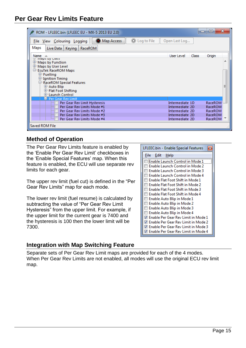<span id="page-14-0"></span>

| ROM - LFLEEC.bin (LFLEEC EU - MX-5 2013 EU 2.0)                    |                 | ▭            | x<br>ıо        |   |
|--------------------------------------------------------------------|-----------------|--------------|----------------|---|
| Map Access<br>۱<br>۰<br>Log to File<br>File View Colouring Logging | Open Last Log   |              |                |   |
| Maps<br>Keying<br>Live Data<br>RaceROM                             |                 |              |                |   |
| <b>Name</b>                                                        | User Level      | <b>Class</b> | Origin         |   |
| w ividius by Class                                                 |                 |              |                |   |
| $\uplus$ Maps by Function                                          |                 |              |                |   |
| 中 Maps by User Level                                               |                 |              |                |   |
| E-EcuTek RaceROM Maps                                              |                 |              |                |   |
| 中 Fuelling                                                         |                 |              |                |   |
| $\pm$ Ignition Timing                                              |                 |              |                |   |
| $⊫\vdash$ RaceROM Special Features                                 |                 |              |                | Ξ |
| <b>L</b> Auto Blip                                                 |                 |              |                |   |
| 中 Flat Foot Shifting<br><b>E-Launch Control</b>                    |                 |              |                |   |
| 早 Per Gear Rev Limit                                               |                 |              |                |   |
| Per Gear Rev Limit Hysteresis                                      | Intermediate 1D |              | RaceROM        |   |
| Per Gear Rev Limits Mode #1                                        | Intermediate 2D |              | <b>RaceROM</b> |   |
| Per Gear Rev Limits Mode #2                                        | Intermediate 2D |              | RaceROM        |   |
| Per Gear Rev Limits Mode #3                                        | Intermediate 2D |              | RaceROM        |   |
| Per Gear Rev Limits Mode #4                                        | Intermediate 2D |              | <b>RaceROM</b> |   |
|                                                                    |                 |              |                |   |
| Saved ROM File                                                     |                 |              |                |   |

#### <span id="page-14-1"></span>**Method of Operation**

The Per Gear Rev Limits feature is enabled by the 'Enable Per Gear Rev Limit' checkboxes in the 'Enable Special Features' map. When this feature is enabled, the ECU will use separate rev limits for each gear.

The upper rev limit (fuel cut) is defined in the "Per Gear Rev Limits" map for each mode.

The lower rev limit (fuel resume) is calculated by subtracting the value of "Per Gear Rev Limit Hysteresis" from the upper limit. For example, if the upper limit for the current gear is 7400 and the hysteresis is 100 then the lower limit will be 7300.

| LFLEEC.bin - Enable Special Features<br>$\mathbf x$ |
|-----------------------------------------------------|
| File Edit Help                                      |
| Enable Launch Control in Mode 1                     |
| Enable Launch Control in Mode 2                     |
| Enable Launch Control in Mode 3                     |
| Enable Launch Control in Mode 4                     |
| Enable Flat Foot Shift in Mode 1                    |
| Enable Flat Foot Shift in Mode 2                    |
| Enable Flat Foot Shift in Mode 3                    |
| Enable Flat Foot Shift in Mode 4                    |
| Enable Auto Blip in Mode 1                          |
| Enable Auto Blip in Mode 2                          |
| Enable Auto Blip in Mode 3                          |
| Enable Auto Blip in Mode 4                          |
| √ Enable Per Gear Rev Limit in Mode 1               |
| √ Enable Per Gear Rev Limit in Mode 2               |
| √ Enable Per Gear Rev Limit in Mode 3               |
| Enable Per Gear Rev Limit in Mode 4                 |

#### <span id="page-14-2"></span>**Integration with Map Switching Feature**

Separate sets of Per Gear Rev Limit maps are provided for each of the 4 modes. When Per Gear Rev Limits are not enabled, all modes will use the original ECU rev limit map.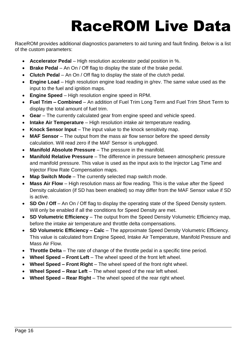## RaceROM Live Data

<span id="page-15-0"></span>RaceROM provides additional diagnostics parameters to aid tuning and fault finding. Below is a list of the custom parameters:

- **Accelerator Pedal** High resolution accelerator pedal position in %.
- **Brake Pedal** An On / Off flag to display the state of the brake pedal.
- **Clutch Pedal** An On / Off flag to display the state of the clutch pedal.
- **Engine Load** High resolution engine load reading in g/rev. The same value used as the input to the fuel and ignition maps.
- **Engine Speed** High resolution engine speed in RPM.
- **Fuel Trim – Combined** An addition of Fuel Trim Long Term and Fuel Trim Short Term to display the total amount of fuel trim.
- **Gear** The currently calculated gear from engine speed and vehicle speed.
- **Intake Air Temperature** High resolution intake air temperature reading.
- **Knock Sensor Input** The input value to the knock sensitivity map.
- **MAF Sensor** The output from the mass air flow sensor before the speed density calculation. Will read zero if the MAF Sensor is unplugged.
- **Manifold Absolute Pressure** The pressure in the manifold.
- **Manifold Relative Pressure** The difference in pressure between atmospheric pressure and manifold pressure. This value is used as the input axis to the Injector Lag Time and Injector Flow Rate Compensation maps.
- **Map Switch Mode** The currently selected map switch mode.
- **Mass Air Flow** High resolution mass air flow reading. This is the value after the Speed Density calculation (if SD has been enabled) so may differ from the MAF Sensor value if SD is active.
- **SD On / Off** An On / Off flag to display the operating state of the Speed Density system. Will only be enabled if all the conditions for Speed Density are met.
- **SD Volumetric Efficiency** The output from the Speed Density Volumetric Efficiency map, before the intake air temperature and throttle delta compensations.
- **SD Volumetric Efficiency – Calc** The approximate Speed Density Volumetric Efficiency. This value is calculated from Engine Speed, Intake Air Temperature, Manifold Pressure and Mass Air Flow.
- **Throttle Delta** The rate of change of the throttle pedal in a specific time period.
- **Wheel Speed – Front Left** The wheel speed of the front left wheel.
- **Wheel Speed – Front Right** The wheel speed of the front right wheel.
- **Wheel Speed – Rear Left** The wheel speed of the rear left wheel.
- **Wheel Speed – Rear Right** The wheel speed of the rear right wheel.